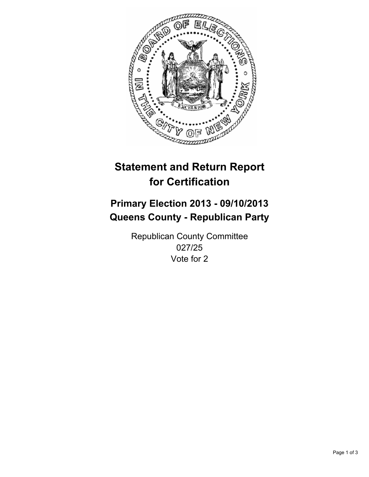

# **Statement and Return Report for Certification**

# **Primary Election 2013 - 09/10/2013 Queens County - Republican Party**

Republican County Committee 027/25 Vote for 2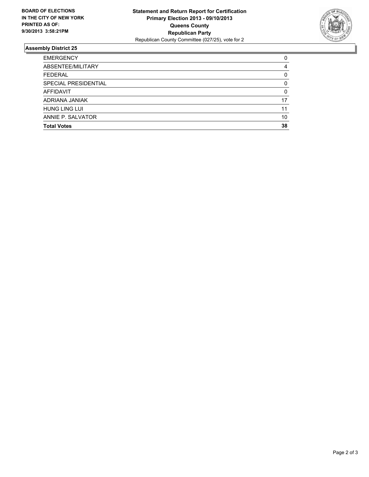

## **Assembly District 25**

| <b>EMERGENCY</b>     | 0        |
|----------------------|----------|
| ABSENTEE/MILITARY    | 4        |
| <b>FEDERAL</b>       | 0        |
| SPECIAL PRESIDENTIAL | 0        |
| AFFIDAVIT            | $\Omega$ |
| ADRIANA JANIAK       | 17       |
| <b>HUNG LING LUI</b> | 11       |
| ANNIE P. SALVATOR    | 10       |
| <b>Total Votes</b>   | 38       |